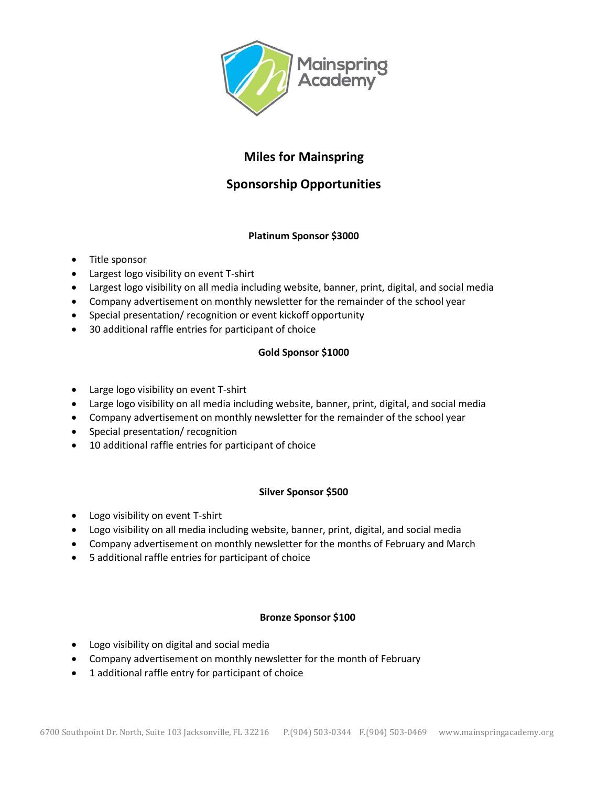

# **Miles for Mainspring**

## **Sponsorship Opportunities**

#### **Platinum Sponsor \$3000**

- Title sponsor
- Largest logo visibility on event T-shirt
- Largest logo visibility on all media including website, banner, print, digital, and social media
- Company advertisement on monthly newsletter for the remainder of the school year
- Special presentation/ recognition or event kickoff opportunity
- 30 additional raffle entries for participant of choice

#### **Gold Sponsor \$1000**

- Large logo visibility on event T-shirt
- Large logo visibility on all media including website, banner, print, digital, and social media
- Company advertisement on monthly newsletter for the remainder of the school year
- Special presentation/ recognition
- 10 additional raffle entries for participant of choice

#### **Silver Sponsor \$500**

- Logo visibility on event T-shirt
- Logo visibility on all media including website, banner, print, digital, and social media
- Company advertisement on monthly newsletter for the months of February and March
- 5 additional raffle entries for participant of choice

#### **Bronze Sponsor \$100**

- Logo visibility on digital and social media
- Company advertisement on monthly newsletter for the month of February
- 1 additional raffle entry for participant of choice